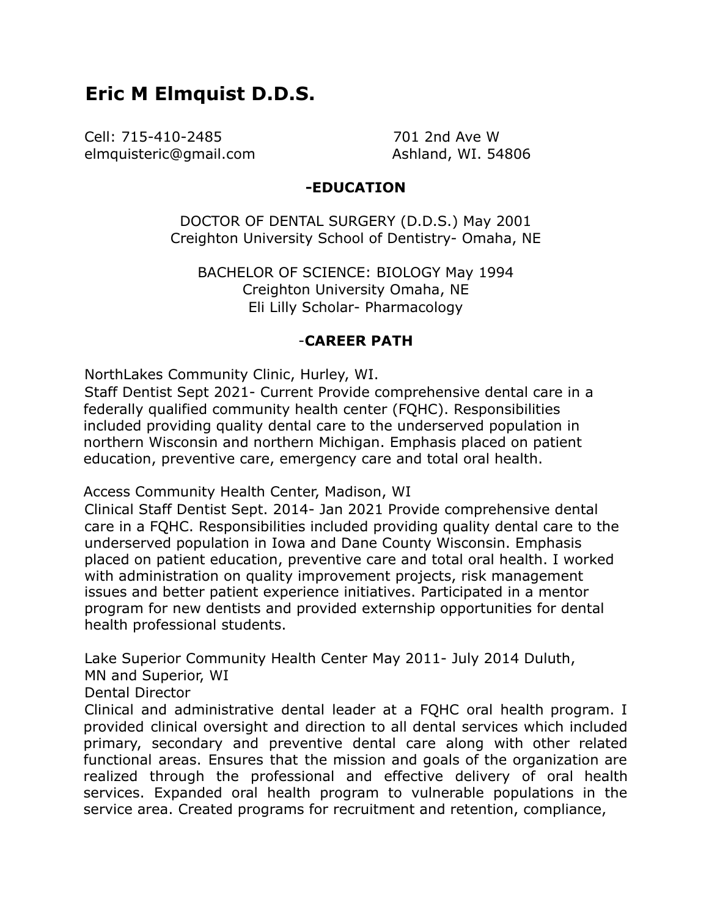# **Eric M Elmquist D.D.S.**

Cell: 715-410-2485 701 2nd Ave W elmquisteric@gmail.com Ashland, WI. 54806

## **-EDUCATION**

DOCTOR OF DENTAL SURGERY (D.D.S.) May 2001 Creighton University School of Dentistry- Omaha, NE

BACHELOR OF SCIENCE: BIOLOGY May 1994 Creighton University Omaha, NE Eli Lilly Scholar- Pharmacology

### -**CAREER PATH**

NorthLakes Community Clinic, Hurley, WI.

Staff Dentist Sept 2021- Current Provide comprehensive dental care in a federally qualified community health center (FQHC). Responsibilities included providing quality dental care to the underserved population in northern Wisconsin and northern Michigan. Emphasis placed on patient education, preventive care, emergency care and total oral health.

Access Community Health Center, Madison, WI

Clinical Staff Dentist Sept. 2014- Jan 2021 Provide comprehensive dental care in a FQHC. Responsibilities included providing quality dental care to the underserved population in Iowa and Dane County Wisconsin. Emphasis placed on patient education, preventive care and total oral health. I worked with administration on quality improvement projects, risk management issues and better patient experience initiatives. Participated in a mentor program for new dentists and provided externship opportunities for dental health professional students.

Lake Superior Community Health Center May 2011- July 2014 Duluth,

MN and Superior, WI

Dental Director

Clinical and administrative dental leader at a FQHC oral health program. I provided clinical oversight and direction to all dental services which included primary, secondary and preventive dental care along with other related functional areas. Ensures that the mission and goals of the organization are realized through the professional and effective delivery of oral health services. Expanded oral health program to vulnerable populations in the service area. Created programs for recruitment and retention, compliance,